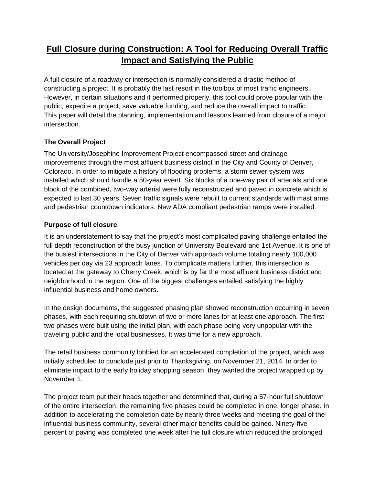# **Full Closure during Construction: A Tool for Reducing Overall Traffic Impact and Satisfying the Public**

A full closure of a roadway or intersection is normally considered a drastic method of constructing a project. It is probably the last resort in the toolbox of most traffic engineers. However, in certain situations and if performed properly, this tool could prove popular with the public, expedite a project, save valuable funding, and reduce the overall impact to traffic. This paper will detail the planning, implementation and lessons learned from closure of a major intersection.

# **The Overall Project**

The University/Josephine Improvement Project encompassed street and drainage improvements through the most affluent business district in the City and County of Denver, Colorado. In order to mitigate a history of flooding problems, a storm sewer system was installed which should handle a 50-year event. Six blocks of a one-way pair of arterials and one block of the combined, two-way arterial were fully reconstructed and paved in concrete which is expected to last 30 years. Seven traffic signals were rebuilt to current standards with mast arms and pedestrian countdown indicators. New ADA compliant pedestrian ramps were installed.

# **Purpose of full closure**

It is an understatement to say that the project's most complicated paving challenge entailed the full depth reconstruction of the busy junction of University Boulevard and 1st Avenue. It is one of the busiest intersections in the City of Denver with approach volume totaling nearly 100,000 vehicles per day via 23 approach lanes. To complicate matters further, this intersection is located at the gateway to Cherry Creek, which is by far the most affluent business district and neighborhood in the region. One of the biggest challenges entailed satisfying the highly influential business and home owners.

In the design documents, the suggested phasing plan showed reconstruction occurring in seven phases, with each requiring shutdown of two or more lanes for at least one approach. The first two phases were built using the initial plan, with each phase being very unpopular with the traveling public and the local businesses. It was time for a new approach.

The retail business community lobbied for an accelerated completion of the project, which was initially scheduled to conclude just prior to Thanksgiving, on November 21, 2014. In order to eliminate impact to the early holiday shopping season, they wanted the project wrapped up by November 1.

The project team put their heads together and determined that, during a 57-hour full shutdown of the entire intersection, the remaining five phases could be completed in one, longer phase. In addition to accelerating the completion date by nearly three weeks and meeting the goal of the influential business community, several other major benefits could be gained. Ninety-five percent of paving was completed one week after the full closure which reduced the prolonged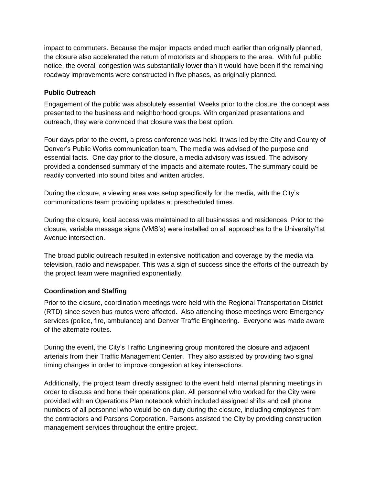impact to commuters. Because the major impacts ended much earlier than originally planned, the closure also accelerated the return of motorists and shoppers to the area. With full public notice, the overall congestion was substantially lower than it would have been if the remaining roadway improvements were constructed in five phases, as originally planned.

#### **Public Outreach**

Engagement of the public was absolutely essential. Weeks prior to the closure, the concept was presented to the business and neighborhood groups. With organized presentations and outreach, they were convinced that closure was the best option.

Four days prior to the event, a press conference was held. It was led by the City and County of Denver's Public Works communication team. The media was advised of the purpose and essential facts. One day prior to the closure, a media advisory was issued. The advisory provided a condensed summary of the impacts and alternate routes. The summary could be readily converted into sound bites and written articles.

During the closure, a viewing area was setup specifically for the media, with the City's communications team providing updates at prescheduled times.

During the closure, local access was maintained to all businesses and residences. Prior to the closure, variable message signs (VMS's) were installed on all approaches to the University/1st Avenue intersection.

The broad public outreach resulted in extensive notification and coverage by the media via television, radio and newspaper. This was a sign of success since the efforts of the outreach by the project team were magnified exponentially.

### **Coordination and Staffing**

Prior to the closure, coordination meetings were held with the Regional Transportation District (RTD) since seven bus routes were affected. Also attending those meetings were Emergency services (police, fire, ambulance) and Denver Traffic Engineering. Everyone was made aware of the alternate routes.

During the event, the City's Traffic Engineering group monitored the closure and adjacent arterials from their Traffic Management Center. They also assisted by providing two signal timing changes in order to improve congestion at key intersections.

Additionally, the project team directly assigned to the event held internal planning meetings in order to discuss and hone their operations plan. All personnel who worked for the City were provided with an Operations Plan notebook which included assigned shifts and cell phone numbers of all personnel who would be on-duty during the closure, including employees from the contractors and Parsons Corporation. Parsons assisted the City by providing construction management services throughout the entire project.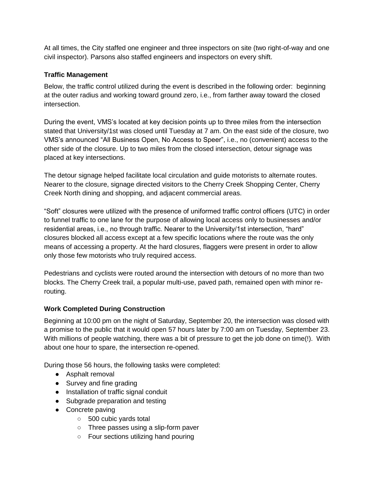At all times, the City staffed one engineer and three inspectors on site (two right-of-way and one civil inspector). Parsons also staffed engineers and inspectors on every shift.

#### **Traffic Management**

Below, the traffic control utilized during the event is described in the following order: beginning at the outer radius and working toward ground zero, i.e., from farther away toward the closed intersection.

During the event, VMS's located at key decision points up to three miles from the intersection stated that University/1st was closed until Tuesday at 7 am. On the east side of the closure, two VMS's announced "All Business Open, No Access to Speer", i.e., no (convenient) access to the other side of the closure. Up to two miles from the closed intersection, detour signage was placed at key intersections.

The detour signage helped facilitate local circulation and guide motorists to alternate routes. Nearer to the closure, signage directed visitors to the Cherry Creek Shopping Center, Cherry Creek North dining and shopping, and adjacent commercial areas.

"Soft" closures were utilized with the presence of uniformed traffic control officers (UTC) in order to funnel traffic to one lane for the purpose of allowing local access only to businesses and/or residential areas, i.e., no through traffic. Nearer to the University/1st intersection, "hard" closures blocked all access except at a few specific locations where the route was the only means of accessing a property. At the hard closures, flaggers were present in order to allow only those few motorists who truly required access.

Pedestrians and cyclists were routed around the intersection with detours of no more than two blocks. The Cherry Creek trail, a popular multi-use, paved path, remained open with minor rerouting.

### **Work Completed During Construction**

Beginning at 10:00 pm on the night of Saturday, September 20, the intersection was closed with a promise to the public that it would open 57 hours later by 7:00 am on Tuesday, September 23. With millions of people watching, there was a bit of pressure to get the job done on time(!). With about one hour to spare, the intersection re-opened.

During those 56 hours, the following tasks were completed:

- Asphalt removal
- Survey and fine grading
- Installation of traffic signal conduit
- Subgrade preparation and testing
- Concrete paving
	- 500 cubic yards total
	- Three passes using a slip-form paver
	- Four sections utilizing hand pouring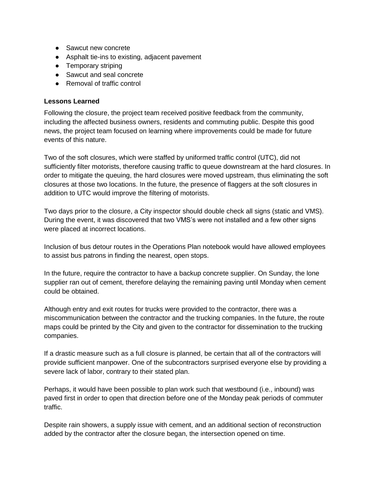- Sawcut new concrete
- Asphalt tie-ins to existing, adjacent pavement
- Temporary striping
- Sawcut and seal concrete
- Removal of traffic control

#### **Lessons Learned**

Following the closure, the project team received positive feedback from the community, including the affected business owners, residents and commuting public. Despite this good news, the project team focused on learning where improvements could be made for future events of this nature.

Two of the soft closures, which were staffed by uniformed traffic control (UTC), did not sufficiently filter motorists, therefore causing traffic to queue downstream at the hard closures. In order to mitigate the queuing, the hard closures were moved upstream, thus eliminating the soft closures at those two locations. In the future, the presence of flaggers at the soft closures in addition to UTC would improve the filtering of motorists.

Two days prior to the closure, a City inspector should double check all signs (static and VMS). During the event, it was discovered that two VMS's were not installed and a few other signs were placed at incorrect locations.

Inclusion of bus detour routes in the Operations Plan notebook would have allowed employees to assist bus patrons in finding the nearest, open stops.

In the future, require the contractor to have a backup concrete supplier. On Sunday, the lone supplier ran out of cement, therefore delaying the remaining paving until Monday when cement could be obtained.

Although entry and exit routes for trucks were provided to the contractor, there was a miscommunication between the contractor and the trucking companies. In the future, the route maps could be printed by the City and given to the contractor for dissemination to the trucking companies.

If a drastic measure such as a full closure is planned, be certain that all of the contractors will provide sufficient manpower. One of the subcontractors surprised everyone else by providing a severe lack of labor, contrary to their stated plan.

Perhaps, it would have been possible to plan work such that westbound (i.e., inbound) was paved first in order to open that direction before one of the Monday peak periods of commuter traffic.

Despite rain showers, a supply issue with cement, and an additional section of reconstruction added by the contractor after the closure began, the intersection opened on time.